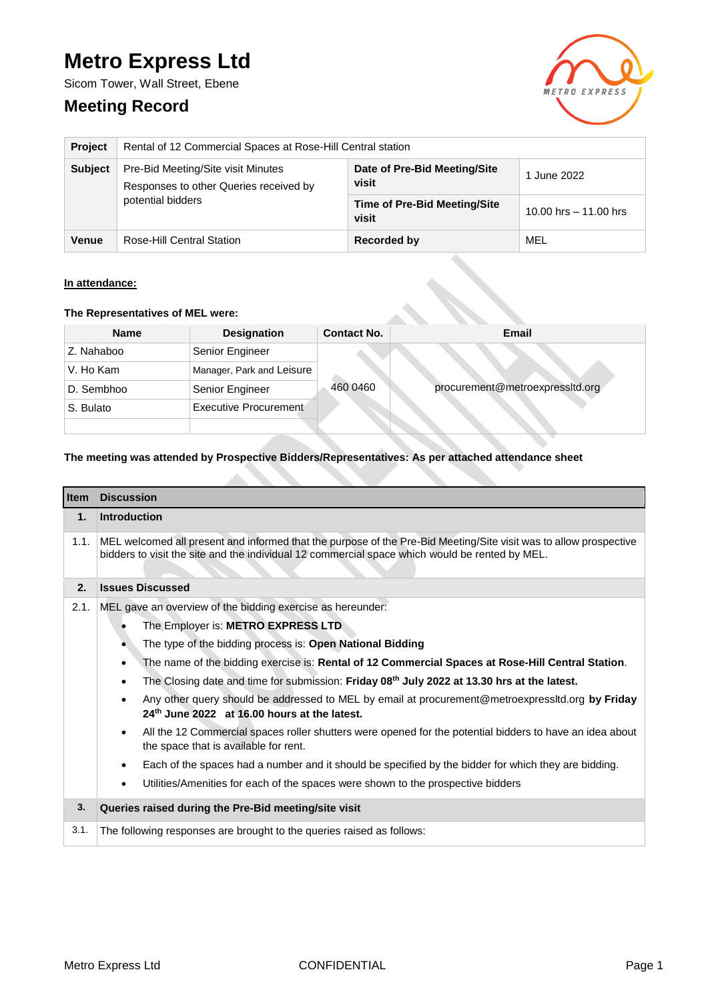# **Metro Express Ltd**

Sicom Tower, Wall Street, Ebene

## **Meeting Record**



| <b>Project</b> | Rental of 12 Commercial Spaces at Rose-Hill Central station                                       |                                              |                         |  |
|----------------|---------------------------------------------------------------------------------------------------|----------------------------------------------|-------------------------|--|
| <b>Subject</b> | Pre-Bid Meeting/Site visit Minutes<br>Responses to other Queries received by<br>potential bidders | Date of Pre-Bid Meeting/Site<br>visit        | 1 June 2022             |  |
|                |                                                                                                   | <b>Time of Pre-Bid Meeting/Site</b><br>visit | 10.00 hrs $-$ 11.00 hrs |  |
| <b>Venue</b>   | Rose-Hill Central Station                                                                         | Recorded by                                  | MEL                     |  |

#### **In attendance:**

#### **The Representatives of MEL were:**

| <b>Name</b> | <b>Designation</b>        | <b>Contact No.</b> | <b>Email</b>                    |
|-------------|---------------------------|--------------------|---------------------------------|
| Z. Nahaboo  | Senior Engineer           |                    |                                 |
| V. Ho Kam   | Manager, Park and Leisure |                    |                                 |
| D. Sembhoo  | Senior Engineer           | 460 0460           | procurement@metroexpressltd.org |
| S. Bulato   | Executive Procurement     |                    |                                 |
|             |                           |                    |                                 |

### **The meeting was attended by Prospective Bidders/Representatives: As per attached attendance sheet**

| <b>Item</b> | <b>Discussion</b>                                                                                                                                                                                                   |
|-------------|---------------------------------------------------------------------------------------------------------------------------------------------------------------------------------------------------------------------|
| $\mathbf 1$ | <b>Introduction</b>                                                                                                                                                                                                 |
| 1.1.        | MEL welcomed all present and informed that the purpose of the Pre-Bid Meeting/Site visit was to allow prospective<br>bidders to visit the site and the individual 12 commercial space which would be rented by MEL. |
| 2.          | <b>Issues Discussed</b>                                                                                                                                                                                             |
| 2.1.        | MEL gave an overview of the bidding exercise as hereunder:                                                                                                                                                          |
|             | The Employer is: METRO EXPRESS LTD                                                                                                                                                                                  |
|             | The type of the bidding process is: Open National Bidding                                                                                                                                                           |
|             | The name of the bidding exercise is: Rental of 12 Commercial Spaces at Rose-Hill Central Station.                                                                                                                   |
|             | The Closing date and time for submission: Friday 08 <sup>th</sup> July 2022 at 13.30 hrs at the latest.                                                                                                             |
|             | Any other query should be addressed to MEL by email at procurement@metroexpressitd.org by Friday<br>24th June 2022 at 16.00 hours at the latest.                                                                    |
|             | All the 12 Commercial spaces roller shutters were opened for the potential bidders to have an idea about<br>$\bullet$<br>the space that is available for rent.                                                      |
|             | Each of the spaces had a number and it should be specified by the bidder for which they are bidding.<br>$\bullet$                                                                                                   |
|             | Utilities/Amenities for each of the spaces were shown to the prospective bidders<br>$\bullet$                                                                                                                       |
| 3.          | Queries raised during the Pre-Bid meeting/site visit                                                                                                                                                                |
| 3.1.        | The following responses are brought to the queries raised as follows:                                                                                                                                               |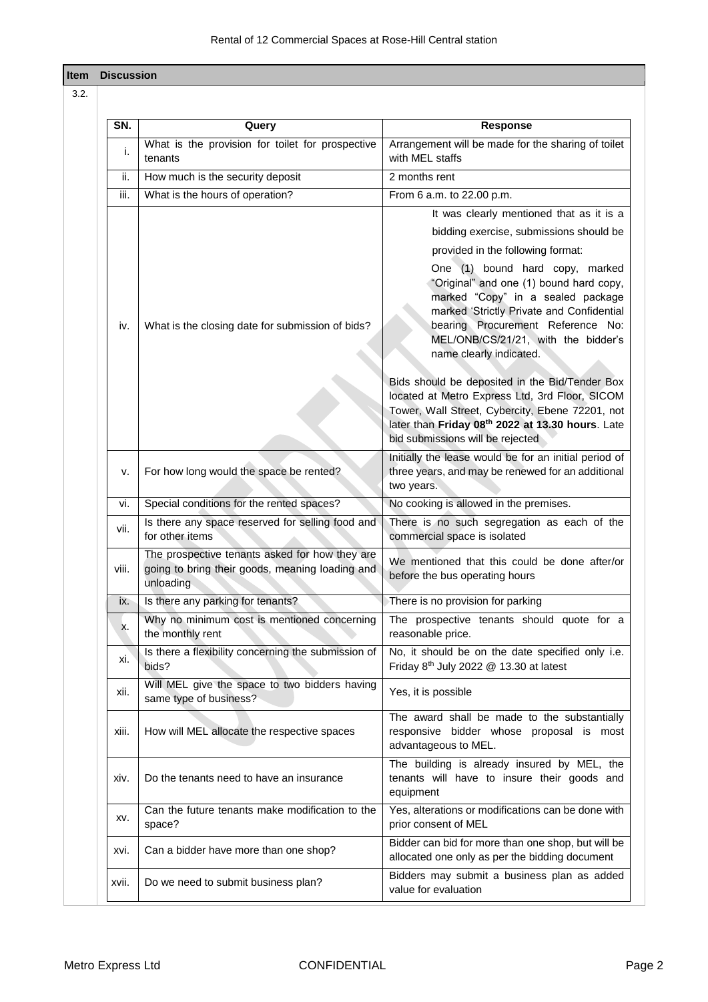| Item |       | <b>Discussion</b>                                                                                              |                                                                                                                                                                                                                                                                                                                                                                                                                                                                                                                                                                                                                                                |  |
|------|-------|----------------------------------------------------------------------------------------------------------------|------------------------------------------------------------------------------------------------------------------------------------------------------------------------------------------------------------------------------------------------------------------------------------------------------------------------------------------------------------------------------------------------------------------------------------------------------------------------------------------------------------------------------------------------------------------------------------------------------------------------------------------------|--|
| 3.2. |       |                                                                                                                |                                                                                                                                                                                                                                                                                                                                                                                                                                                                                                                                                                                                                                                |  |
|      | SN.   | Query                                                                                                          | <b>Response</b>                                                                                                                                                                                                                                                                                                                                                                                                                                                                                                                                                                                                                                |  |
|      | i.    | What is the provision for toilet for prospective<br>tenants                                                    | Arrangement will be made for the sharing of toilet<br>with MEL staffs                                                                                                                                                                                                                                                                                                                                                                                                                                                                                                                                                                          |  |
|      | ii.   | How much is the security deposit                                                                               | 2 months rent                                                                                                                                                                                                                                                                                                                                                                                                                                                                                                                                                                                                                                  |  |
|      | iii.  | What is the hours of operation?                                                                                | From 6 a.m. to 22.00 p.m.                                                                                                                                                                                                                                                                                                                                                                                                                                                                                                                                                                                                                      |  |
|      | iv.   | What is the closing date for submission of bids?                                                               | It was clearly mentioned that as it is a<br>bidding exercise, submissions should be<br>provided in the following format:<br>One (1) bound hard copy, marked<br>"Original" and one (1) bound hard copy,<br>marked "Copy" in a sealed package<br>marked 'Strictly Private and Confidential<br>bearing Procurement Reference No:<br>MEL/ONB/CS/21/21, with the bidder's<br>name clearly indicated.<br>Bids should be deposited in the Bid/Tender Box<br>located at Metro Express Ltd, 3rd Floor, SICOM<br>Tower, Wall Street, Cybercity, Ebene 72201, not<br>later than Friday 08th 2022 at 13.30 hours. Late<br>bid submissions will be rejected |  |
|      | v.    | For how long would the space be rented?                                                                        | Initially the lease would be for an initial period of<br>three years, and may be renewed for an additional<br>two years.                                                                                                                                                                                                                                                                                                                                                                                                                                                                                                                       |  |
|      | vi.   | Special conditions for the rented spaces?                                                                      | No cooking is allowed in the premises.                                                                                                                                                                                                                                                                                                                                                                                                                                                                                                                                                                                                         |  |
|      | vii.  | Is there any space reserved for selling food and<br>for other items                                            | There is no such segregation as each of the<br>commercial space is isolated                                                                                                                                                                                                                                                                                                                                                                                                                                                                                                                                                                    |  |
|      | viii. | The prospective tenants asked for how they are<br>going to bring their goods, meaning loading and<br>unloading | We mentioned that this could be done after/or<br>before the bus operating hours                                                                                                                                                                                                                                                                                                                                                                                                                                                                                                                                                                |  |
|      | ix.   | Is there any parking for tenants?                                                                              | There is no provision for parking                                                                                                                                                                                                                                                                                                                                                                                                                                                                                                                                                                                                              |  |
|      | х.    | Why no minimum cost is mentioned concerning<br>the monthly rent                                                | The prospective tenants should quote for a<br>reasonable price.                                                                                                                                                                                                                                                                                                                                                                                                                                                                                                                                                                                |  |
|      | xi.   | Is there a flexibility concerning the submission of<br>bids?                                                   | No, it should be on the date specified only i.e.<br>Friday $8th$ July 2022 $@$ 13.30 at latest                                                                                                                                                                                                                                                                                                                                                                                                                                                                                                                                                 |  |
|      | XII.  | Will MEL give the space to two bidders having<br>same type of business?                                        | Yes, it is possible                                                                                                                                                                                                                                                                                                                                                                                                                                                                                                                                                                                                                            |  |
|      | xiii. | How will MEL allocate the respective spaces                                                                    | The award shall be made to the substantially<br>responsive bidder whose proposal is most<br>advantageous to MEL.                                                                                                                                                                                                                                                                                                                                                                                                                                                                                                                               |  |
|      | xiv.  | Do the tenants need to have an insurance                                                                       | The building is already insured by MEL, the<br>tenants will have to insure their goods and<br>equipment                                                                                                                                                                                                                                                                                                                                                                                                                                                                                                                                        |  |
|      | XV.   | Can the future tenants make modification to the<br>space?                                                      | Yes, alterations or modifications can be done with<br>prior consent of MEL                                                                                                                                                                                                                                                                                                                                                                                                                                                                                                                                                                     |  |
|      | XVİ.  | Can a bidder have more than one shop?                                                                          | Bidder can bid for more than one shop, but will be<br>allocated one only as per the bidding document                                                                                                                                                                                                                                                                                                                                                                                                                                                                                                                                           |  |
|      | XVII. | Do we need to submit business plan?                                                                            | Bidders may submit a business plan as added<br>value for evaluation                                                                                                                                                                                                                                                                                                                                                                                                                                                                                                                                                                            |  |